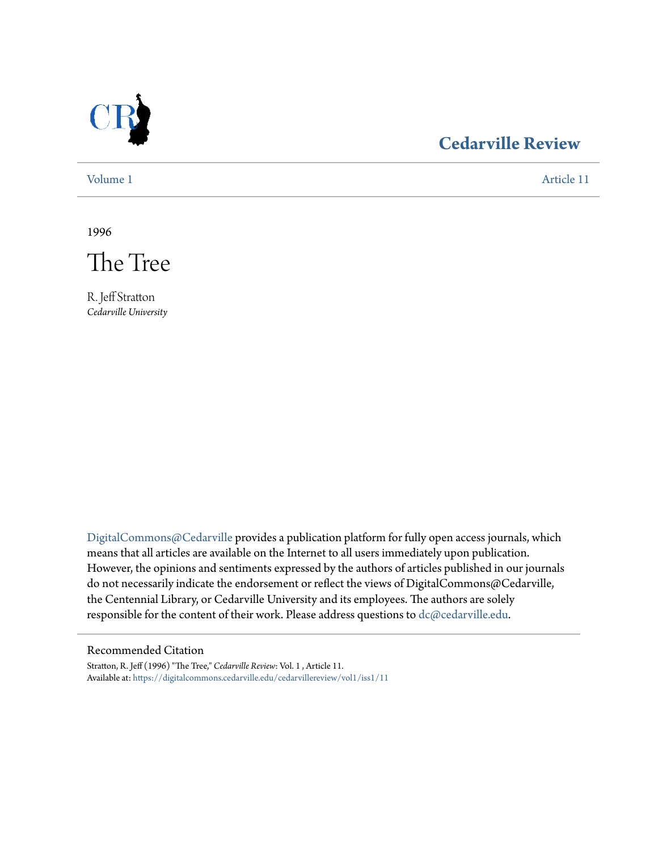

## **[Cedarville Review](https://digitalcommons.cedarville.edu/cedarvillereview?utm_source=digitalcommons.cedarville.edu%2Fcedarvillereview%2Fvol1%2Fiss1%2F11&utm_medium=PDF&utm_campaign=PDFCoverPages)**

[Volume 1](https://digitalcommons.cedarville.edu/cedarvillereview/vol1?utm_source=digitalcommons.cedarville.edu%2Fcedarvillereview%2Fvol1%2Fiss1%2F11&utm_medium=PDF&utm_campaign=PDFCoverPages) [Article 11](https://digitalcommons.cedarville.edu/cedarvillereview/vol1/iss1/11?utm_source=digitalcommons.cedarville.edu%2Fcedarvillereview%2Fvol1%2Fiss1%2F11&utm_medium=PDF&utm_campaign=PDFCoverPages)

1996



R. Jeff Stratton *Cedarville University*

[DigitalCommons@Cedarville](http://digitalcommons.cedarville.edu) provides a publication platform for fully open access journals, which means that all articles are available on the Internet to all users immediately upon publication. However, the opinions and sentiments expressed by the authors of articles published in our journals do not necessarily indicate the endorsement or reflect the views of DigitalCommons@Cedarville, the Centennial Library, or Cedarville University and its employees. The authors are solely responsible for the content of their work. Please address questions to [dc@cedarville.edu](mailto:dc@cedarville.edu).

#### Recommended Citation

Stratton, R. Jeff (1996) "The Tree," *Cedarville Review*: Vol. 1 , Article 11. Available at: [https://digitalcommons.cedarville.edu/cedarvillereview/vol1/iss1/11](https://digitalcommons.cedarville.edu/cedarvillereview/vol1/iss1/11?utm_source=digitalcommons.cedarville.edu%2Fcedarvillereview%2Fvol1%2Fiss1%2F11&utm_medium=PDF&utm_campaign=PDFCoverPages)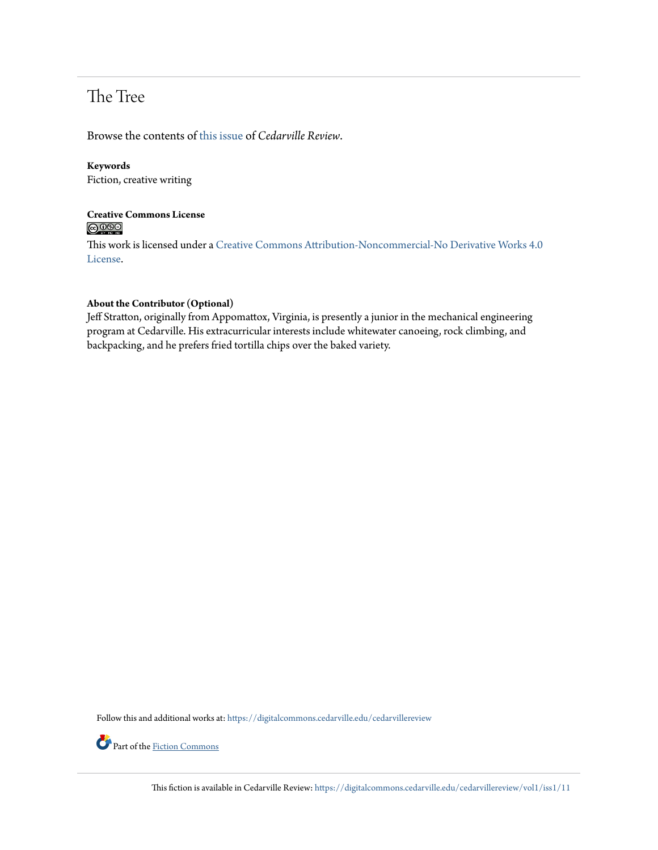# The Tree

Browse the contents of [this issue](https://digitalcommons.cedarville.edu/cedarvillereview/vol1/iss1) of *Cedarville Review*.

#### **Keywords**

Fiction, creative writing

### **Creative Commons License**  $\bigcirc$   $\circ$

This work is licensed under a [Creative Commons Attribution-Noncommercial-No Derivative Works 4.0](http://creativecommons.org/licenses/by-nc-nd/4.0/) [License.](http://creativecommons.org/licenses/by-nc-nd/4.0/)

#### **About the Contributor (Optional)**

Jeff Stratton, originally from Appomattox, Virginia, is presently a junior in the mechanical engineering program at Cedarville. His extracurricular interests include whitewater canoeing, rock climbing, and backpacking, and he prefers fried tortilla chips over the baked variety.

Follow this and additional works at: [https://digitalcommons.cedarville.edu/cedarvillereview](https://digitalcommons.cedarville.edu/cedarvillereview?utm_source=digitalcommons.cedarville.edu%2Fcedarvillereview%2Fvol1%2Fiss1%2F11&utm_medium=PDF&utm_campaign=PDFCoverPages)



Part of the <u>[Fiction Commons](http://network.bepress.com/hgg/discipline/1151?utm_source=digitalcommons.cedarville.edu%2Fcedarvillereview%2Fvol1%2Fiss1%2F11&utm_medium=PDF&utm_campaign=PDFCoverPages)</u>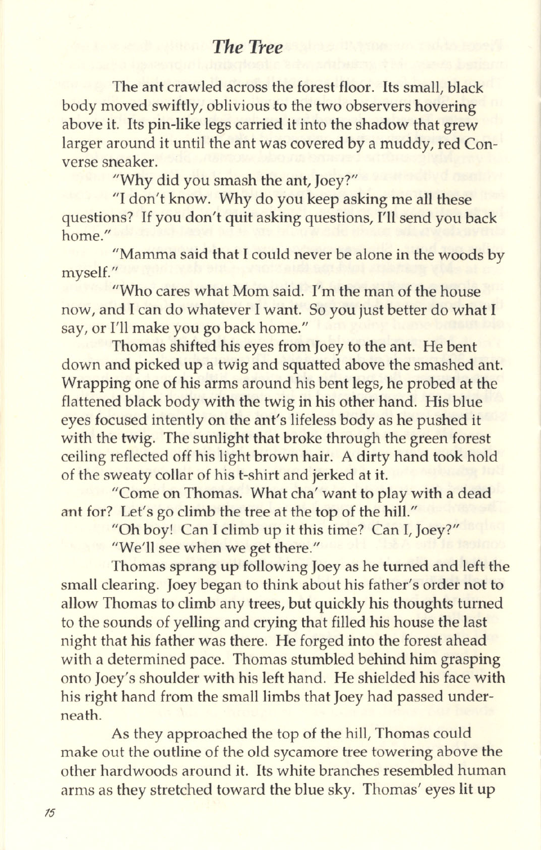### **The Tree**

The ant crawled across the forest floor. Its small, black body moved swiftly, oblivious to the two observers hovering above it. Its pin-like legs carried it into the shadow that grew larger around it until the ant was covered by a muddy, red Converse sneaker.

"Why did you smash the ant, Joey?"

"I don't know. Why do you keep asking me all these questions? If you don't quit asking questions, I'll send you back home."

"Mamma said that I could never be alone in the woods by myself.

"Who cares what Mom said. I'm the man of the house now, and I can do whatever I want. So you just better do what I say, or I'll make you go back home."

Thomas shifted his eyes from Joey to the ant. He bent down and picked up a twig and squatted above the smashed ant. Wrapping one of his arms around his bent legs, he probed at the flattened black body with the twig in his other hand. His blue eves focused intently on the ant's lifeless body as he pushed it with the twig. The sunlight that broke through the green forest ceiling reflected off his light brown hair. A dirty hand took hold of the sweaty collar of his t-shirt and jerked at it.

"Come on Thomas. What cha' want to play with a dead ant for? Let's go climb the tree at the top of the hill."

"Oh boy! Can I climb up it this time? Can I, Joey?"

"We'll see when we get there."

Thomas sprang up following Joey as he turned and left the small clearing. Joey began to think about his father's order not to allow Thomas to climb any trees, but quickly his thoughts turned to the sounds of yelling and crying that filled his house the last night that his father was there. He forged into the forest ahead with a determined pace. Thomas stumbled behind him grasping onto Joey's shoulder with his left hand. He shielded his face with his right hand from the small limbs that Joey had passed underneath.

As they approached the top of the hill, Thomas could make out the outline of the old sycamore tree towering above the other hardwoods around it. Its white branches resembled human arms as they stretched toward the blue sky. Thomas' eyes lit up